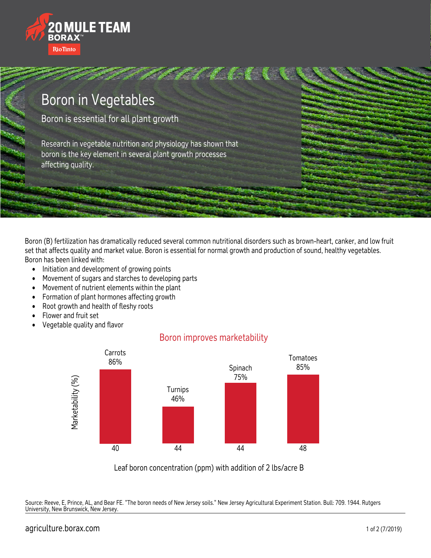



Boron (B) fertilization has dramatically reduced several common nutritional disorders such as brown-heart, canker, and low fruit set that affects quality and market value. Boron is essential for normal growth and production of sound, healthy vegetables. Boron has been linked with:

- Initiation and development of growing points
- Movement of sugars and starches to developing parts
- Movement of nutrient elements within the plant
- Formation of plant hormones affecting growth
- Root growth and health of fleshy roots
- Flower and fruit set
- Vegetable quality and flavor

## Boron improves marketability



Leaf boron concentration (ppm) with addition of 2 lbs/acre B

Source: Reeve, E, Prince, AL, and Bear FE. "The boron needs of New Jersey soils." New Jersey Agricultural Experiment Station. Bull: 709. 1944. Rutgers University, New Brunswick, New Jersey.